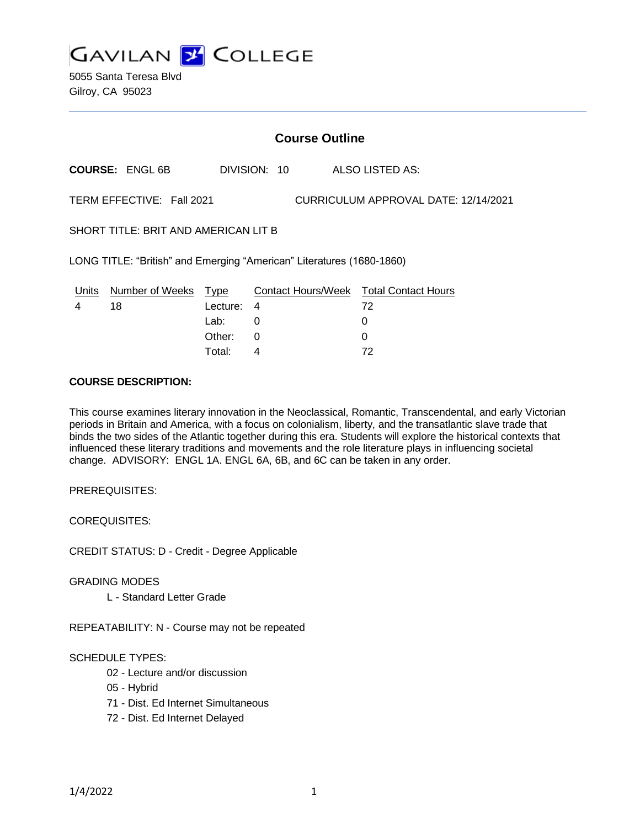

5055 Santa Teresa Blvd Gilroy, CA 95023

# **Course Outline**

**COURSE:** ENGL 6B DIVISION: 10 ALSO LISTED AS:

TERM EFFECTIVE: Fall 2021 CURRICULUM APPROVAL DATE: 12/14/2021

SHORT TITLE: BRIT AND AMERICAN LIT B

LONG TITLE: "British" and Emerging "American" Literatures (1680-1860)

| Units | Number of Weeks Type |            | <b>Contact Hours/Week Total Contact Hours</b> |    |
|-------|----------------------|------------|-----------------------------------------------|----|
|       | 18                   | Lecture: 4 |                                               | 72 |
|       |                      | Lab: _     |                                               |    |
|       |                      | Other: 0   |                                               |    |
|       |                      | Total:     |                                               | 72 |

# **COURSE DESCRIPTION:**

This course examines literary innovation in the Neoclassical, Romantic, Transcendental, and early Victorian periods in Britain and America, with a focus on colonialism, liberty, and the transatlantic slave trade that binds the two sides of the Atlantic together during this era. Students will explore the historical contexts that influenced these literary traditions and movements and the role literature plays in influencing societal change. ADVISORY: ENGL 1A. ENGL 6A, 6B, and 6C can be taken in any order.

PREREQUISITES:

COREQUISITES:

CREDIT STATUS: D - Credit - Degree Applicable

GRADING MODES

L - Standard Letter Grade

REPEATABILITY: N - Course may not be repeated

#### SCHEDULE TYPES:

- 02 Lecture and/or discussion
- 05 Hybrid
- 71 Dist. Ed Internet Simultaneous
- 72 Dist. Ed Internet Delayed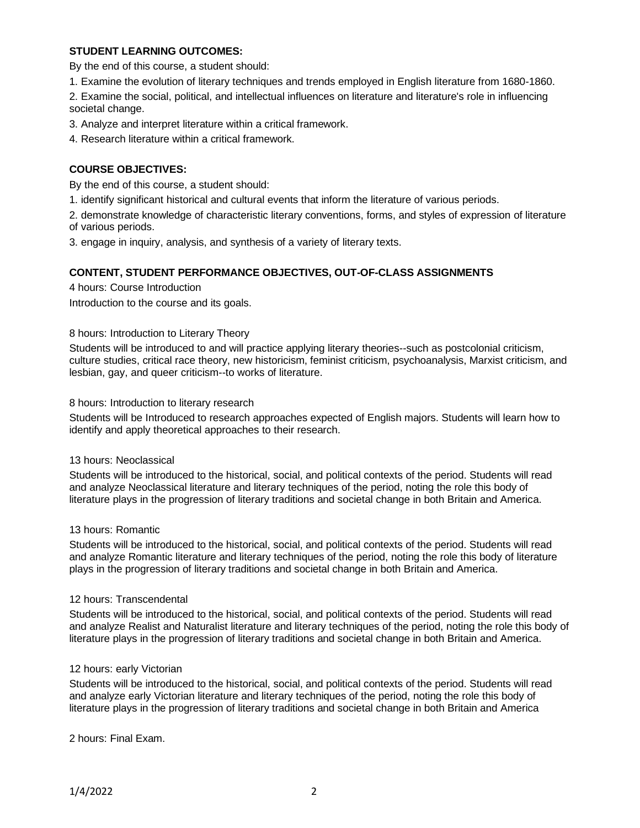## **STUDENT LEARNING OUTCOMES:**

By the end of this course, a student should:

1. Examine the evolution of literary techniques and trends employed in English literature from 1680-1860.

2. Examine the social, political, and intellectual influences on literature and literature's role in influencing societal change.

3. Analyze and interpret literature within a critical framework.

4. Research literature within a critical framework.

### **COURSE OBJECTIVES:**

By the end of this course, a student should:

1. identify significant historical and cultural events that inform the literature of various periods.

2. demonstrate knowledge of characteristic literary conventions, forms, and styles of expression of literature of various periods.

3. engage in inquiry, analysis, and synthesis of a variety of literary texts.

### **CONTENT, STUDENT PERFORMANCE OBJECTIVES, OUT-OF-CLASS ASSIGNMENTS**

4 hours: Course Introduction

Introduction to the course and its goals.

#### 8 hours: Introduction to Literary Theory

Students will be introduced to and will practice applying literary theories--such as postcolonial criticism, culture studies, critical race theory, new historicism, feminist criticism, psychoanalysis, Marxist criticism, and lesbian, gay, and queer criticism--to works of literature.

#### 8 hours: Introduction to literary research

Students will be Introduced to research approaches expected of English majors. Students will learn how to identify and apply theoretical approaches to their research.

#### 13 hours: Neoclassical

Students will be introduced to the historical, social, and political contexts of the period. Students will read and analyze Neoclassical literature and literary techniques of the period, noting the role this body of literature plays in the progression of literary traditions and societal change in both Britain and America.

#### 13 hours: Romantic

Students will be introduced to the historical, social, and political contexts of the period. Students will read and analyze Romantic literature and literary techniques of the period, noting the role this body of literature plays in the progression of literary traditions and societal change in both Britain and America.

#### 12 hours: Transcendental

Students will be introduced to the historical, social, and political contexts of the period. Students will read and analyze Realist and Naturalist literature and literary techniques of the period, noting the role this body of literature plays in the progression of literary traditions and societal change in both Britain and America.

#### 12 hours: early Victorian

Students will be introduced to the historical, social, and political contexts of the period. Students will read and analyze early Victorian literature and literary techniques of the period, noting the role this body of literature plays in the progression of literary traditions and societal change in both Britain and America

2 hours: Final Exam.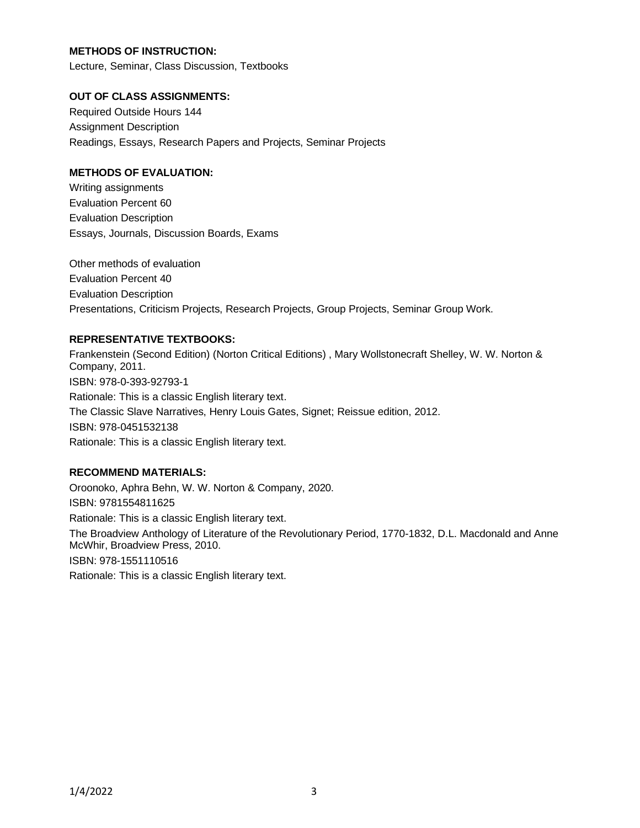# **METHODS OF INSTRUCTION:**

Lecture, Seminar, Class Discussion, Textbooks

# **OUT OF CLASS ASSIGNMENTS:**

Required Outside Hours 144 Assignment Description Readings, Essays, Research Papers and Projects, Seminar Projects

# **METHODS OF EVALUATION:**

Writing assignments Evaluation Percent 60 Evaluation Description Essays, Journals, Discussion Boards, Exams

Other methods of evaluation Evaluation Percent 40 Evaluation Description Presentations, Criticism Projects, Research Projects, Group Projects, Seminar Group Work.

# **REPRESENTATIVE TEXTBOOKS:**

Frankenstein (Second Edition) (Norton Critical Editions) , Mary Wollstonecraft Shelley, W. W. Norton & Company, 2011. ISBN: 978-0-393-92793-1 Rationale: This is a classic English literary text. The Classic Slave Narratives, Henry Louis Gates, Signet; Reissue edition, 2012. ISBN: 978-0451532138 Rationale: This is a classic English literary text.

### **RECOMMEND MATERIALS:**

Oroonoko, Aphra Behn, W. W. Norton & Company, 2020. ISBN: 9781554811625 Rationale: This is a classic English literary text. The Broadview Anthology of Literature of the Revolutionary Period, 1770-1832, D.L. Macdonald and Anne McWhir, Broadview Press, 2010. ISBN: 978-1551110516 Rationale: This is a classic English literary text.